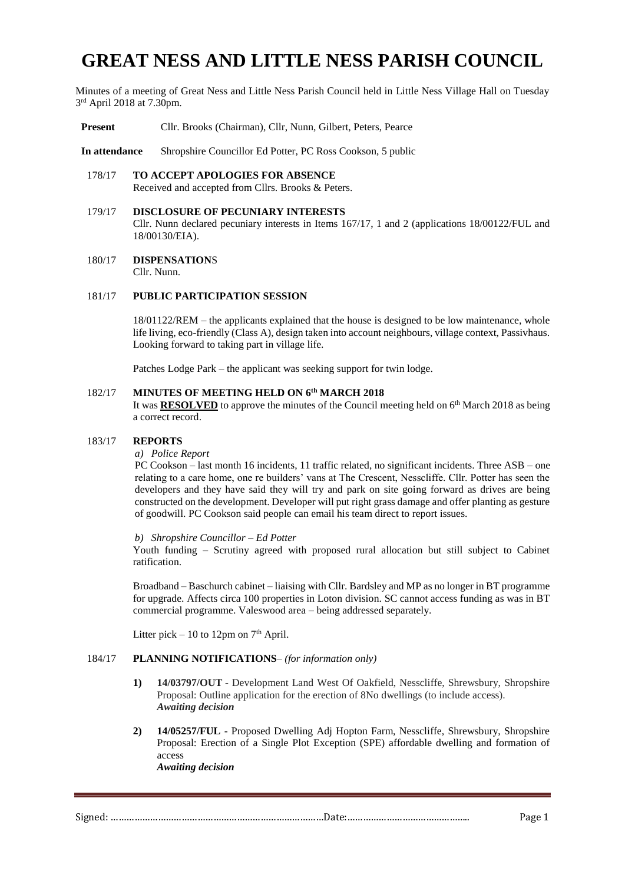# **GREAT NESS AND LITTLE NESS PARISH COUNCIL**

Minutes of a meeting of Great Ness and Little Ness Parish Council held in Little Ness Village Hall on Tuesday 3 rd April 2018 at 7.30pm.

**Present** Cllr. Brooks (Chairman), Cllr, Nunn, Gilbert, Peters, Pearce

**In attendance** Shropshire Councillor Ed Potter, PC Ross Cookson, 5 public

# 178/17 **TO ACCEPT APOLOGIES FOR ABSENCE**

Received and accepted from Cllrs. Brooks & Peters.

#### 179/17 **DISCLOSURE OF PECUNIARY INTERESTS**

Cllr. Nunn declared pecuniary interests in Items 167/17, 1 and 2 (applications 18/00122/FUL and 18/00130/EIA).

180/17 **DISPENSATION**S Cllr. Nunn.

## 181/17 **PUBLIC PARTICIPATION SESSION**

18/01122/REM – the applicants explained that the house is designed to be low maintenance, whole life living, eco-friendly (Class A), design taken into account neighbours, village context, Passivhaus. Looking forward to taking part in village life.

Patches Lodge Park – the applicant was seeking support for twin lodge.

#### 182/17 **MINUTES OF MEETING HELD ON 6 th MARCH 2018**

It was **RESOLVED** to approve the minutes of the Council meeting held on  $6<sup>th</sup>$  March 2018 as being a correct record.

#### 183/17 **REPORTS**

## *a) Police Report*

PC Cookson – last month 16 incidents, 11 traffic related, no significant incidents. Three ASB – one relating to a care home, one re builders' vans at The Crescent, Nesscliffe. Cllr. Potter has seen the developers and they have said they will try and park on site going forward as drives are being constructed on the development. Developer will put right grass damage and offer planting as gesture of goodwill. PC Cookson said people can email his team direct to report issues.

#### *b) Shropshire Councillor – Ed Potter*

Youth funding – Scrutiny agreed with proposed rural allocation but still subject to Cabinet ratification.

Broadband – Baschurch cabinet – liaising with Cllr. Bardsley and MP as no longer in BT programme for upgrade. Affects circa 100 properties in Loton division. SC cannot access funding as was in BT commercial programme. Valeswood area – being addressed separately.

Litter pick – 10 to 12pm on  $7<sup>th</sup>$  April.

# 184/17 **PLANNING NOTIFICATIONS**– *(for information only)*

- **1) 14/03797/OUT** Development Land West Of Oakfield, Nesscliffe, Shrewsbury, Shropshire Proposal: Outline application for the erection of 8No dwellings (to include access). *Awaiting decision*
- **2) 14/05257/FUL** Proposed Dwelling Adj Hopton Farm, Nesscliffe, Shrewsbury, Shropshire Proposal: Erection of a Single Plot Exception (SPE) affordable dwelling and formation of access *Awaiting decision*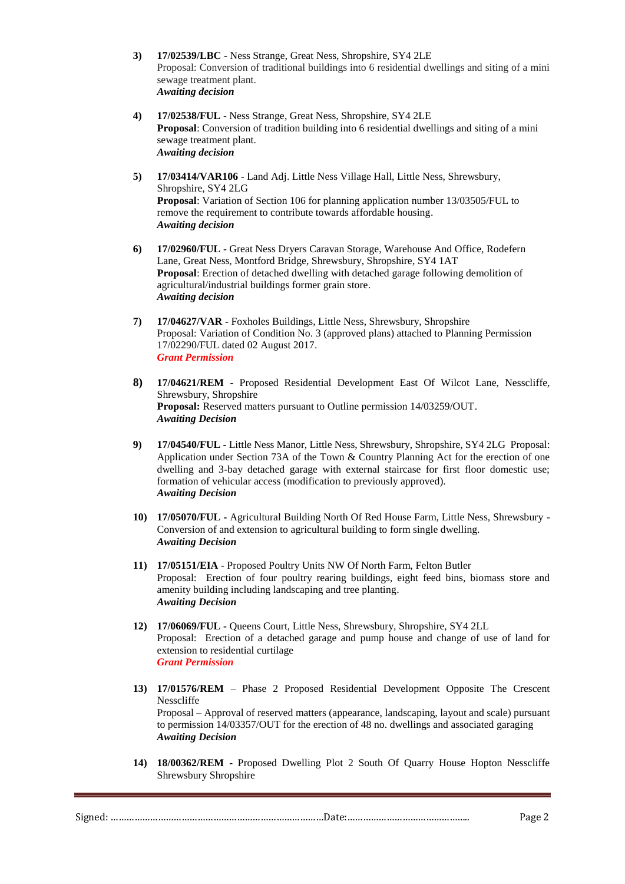- **3) 17/02539/LBC** Ness Strange, Great Ness, Shropshire, SY4 2LE Proposal: Conversion of traditional buildings into 6 residential dwellings and siting of a mini sewage treatment plant. *Awaiting decision*
- **4) 17/02538/FUL** Ness Strange, Great Ness, Shropshire, SY4 2LE **Proposal**: Conversion of tradition building into 6 residential dwellings and siting of a mini sewage treatment plant. *Awaiting decision*
- **5) 17/03414/VAR106** Land Adj. Little Ness Village Hall, Little Ness, Shrewsbury, Shropshire, SY4 2LG **Proposal**: Variation of Section 106 for planning application number 13/03505/FUL to remove the requirement to contribute towards affordable housing. *Awaiting decision*
- **6) 17/02960/FUL** Great Ness Dryers Caravan Storage, Warehouse And Office, Rodefern Lane, Great Ness, Montford Bridge, Shrewsbury, Shropshire, SY4 1AT **Proposal**: Erection of detached dwelling with detached garage following demolition of agricultural/industrial buildings former grain store. *Awaiting decision*
- **7) 17/04627/VAR -** Foxholes Buildings, Little Ness, Shrewsbury, Shropshire Proposal: Variation of Condition No. 3 (approved plans) attached to Planning Permission 17/02290/FUL dated 02 August 2017. *Grant Permission*
- **8) 17/04621/REM -** Proposed Residential Development East Of Wilcot Lane, Nesscliffe, Shrewsbury, Shropshire **Proposal:** Reserved matters pursuant to Outline permission 14/03259/OUT. *Awaiting Decision*
- **9) 17/04540/FUL -** Little Ness Manor, Little Ness, Shrewsbury, Shropshire, SY4 2LG Proposal: Application under Section 73A of the Town & Country Planning Act for the erection of one dwelling and 3-bay detached garage with external staircase for first floor domestic use; formation of vehicular access (modification to previously approved). *Awaiting Decision*
- **10) 17/05070/FUL -** Agricultural Building North Of Red House Farm, Little Ness, Shrewsbury Conversion of and extension to agricultural building to form single dwelling. *Awaiting Decision*
- **11) 17/05151/EIA** Proposed Poultry Units NW Of North Farm, Felton Butler Proposal: Erection of four poultry rearing buildings, eight feed bins, biomass store and amenity building including landscaping and tree planting. *Awaiting Decision*
- **12) 17/06069/FUL -** Queens Court, Little Ness, Shrewsbury, Shropshire, SY4 2LL Proposal: Erection of a detached garage and pump house and change of use of land for extension to residential curtilage *Grant Permission*
- **13) 17/01576/REM**  Phase 2 Proposed Residential Development Opposite The Crescent Nesscliffe Proposal – Approval of reserved matters (appearance, landscaping, layout and scale) pursuant to permission 14/03357/OUT for the erection of 48 no. dwellings and associated garaging *Awaiting Decision*
- **14) 18/00362/REM -** Proposed Dwelling Plot 2 South Of Quarry House Hopton Nesscliffe Shrewsbury Shropshire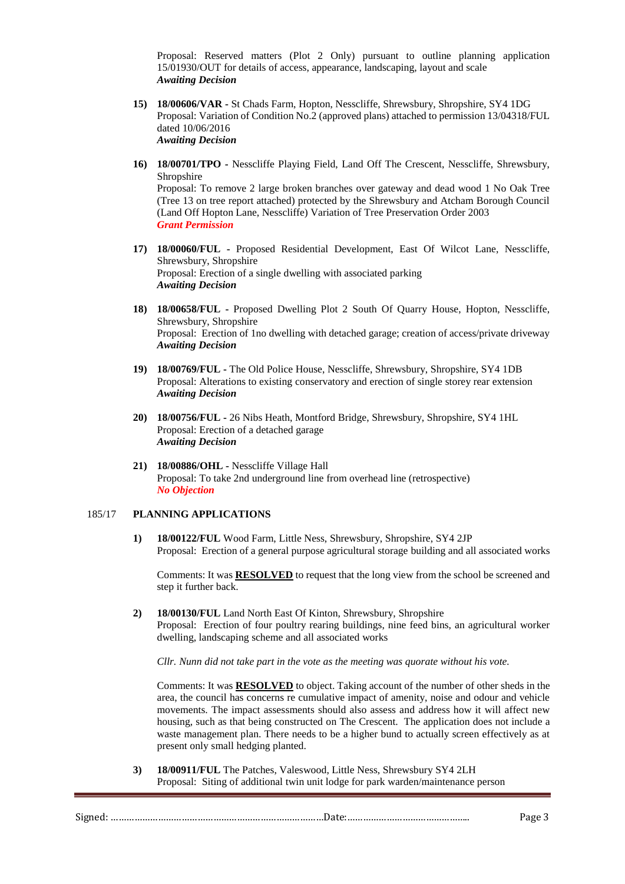Proposal: Reserved matters (Plot 2 Only) pursuant to outline planning application 15/01930/OUT for details of access, appearance, landscaping, layout and scale *Awaiting Decision*

- **15) 18/00606/VAR -** St Chads Farm, Hopton, Nesscliffe, Shrewsbury, Shropshire, SY4 1DG Proposal: Variation of Condition No.2 (approved plans) attached to permission 13/04318/FUL dated 10/06/2016 *Awaiting Decision*
- **16) 18/00701/TPO -** Nesscliffe Playing Field, Land Off The Crescent, Nesscliffe, Shrewsbury, Shropshire

Proposal: To remove 2 large broken branches over gateway and dead wood 1 No Oak Tree (Tree 13 on tree report attached) protected by the Shrewsbury and Atcham Borough Council (Land Off Hopton Lane, Nesscliffe) Variation of Tree Preservation Order 2003 *Grant Permission*

- **17) 18/00060/FUL -** Proposed Residential Development, East Of Wilcot Lane, Nesscliffe, Shrewsbury, Shropshire Proposal: Erection of a single dwelling with associated parking *Awaiting Decision*
- **18) 18/00658/FUL -** Proposed Dwelling Plot 2 South Of Quarry House, Hopton, Nesscliffe, Shrewsbury, Shropshire Proposal: Erection of 1no dwelling with detached garage; creation of access/private driveway *Awaiting Decision*
- **19) 18/00769/FUL -** The Old Police House, Nesscliffe, Shrewsbury, Shropshire, SY4 1DB Proposal: Alterations to existing conservatory and erection of single storey rear extension *Awaiting Decision*
- **20) 18/00756/FUL -** 26 Nibs Heath, Montford Bridge, Shrewsbury, Shropshire, SY4 1HL Proposal: Erection of a detached garage *Awaiting Decision*
- **21) 18/00886/OHL -** Nesscliffe Village Hall Proposal: To take 2nd underground line from overhead line (retrospective) *No Objection*

#### 185/17 **PLANNING APPLICATIONS**

**1) 18/00122/FUL** Wood Farm, Little Ness, Shrewsbury, Shropshire, SY4 2JP Proposal: Erection of a general purpose agricultural storage building and all associated works

Comments: It was **RESOLVED** to request that the long view from the school be screened and step it further back.

**2) 18/00130/FUL** Land North East Of Kinton, Shrewsbury, Shropshire Proposal: Erection of four poultry rearing buildings, nine feed bins, an agricultural worker dwelling, landscaping scheme and all associated works

*Cllr. Nunn did not take part in the vote as the meeting was quorate without his vote.*

Comments: It was **RESOLVED** to object. Taking account of the number of other sheds in the area, the council has concerns re cumulative impact of amenity, noise and odour and vehicle movements. The impact assessments should also assess and address how it will affect new housing, such as that being constructed on The Crescent. The application does not include a waste management plan. There needs to be a higher bund to actually screen effectively as at present only small hedging planted.

**3) 18/00911/FUL** The Patches, Valeswood, Little Ness, Shrewsbury SY4 2LH Proposal: Siting of additional twin unit lodge for park warden/maintenance person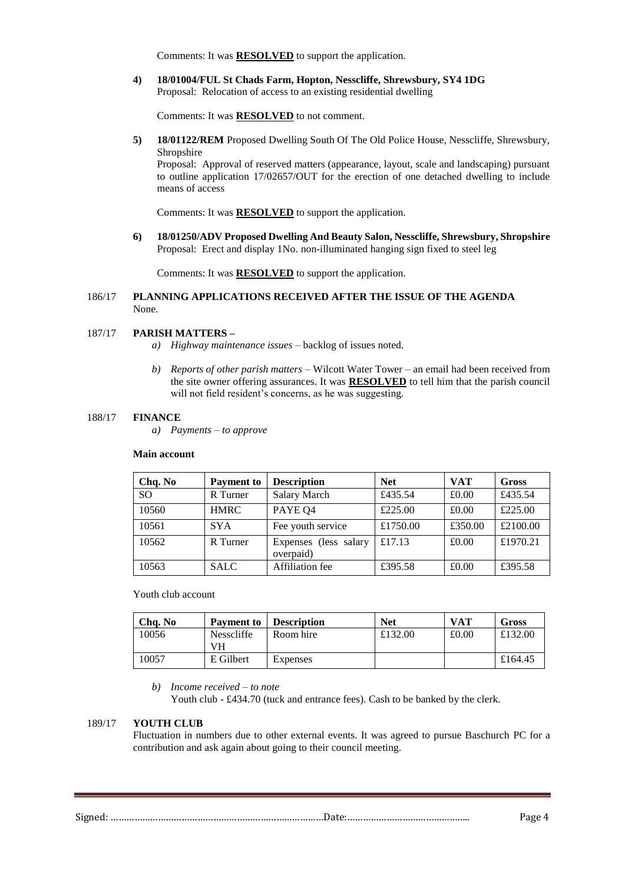Comments: It was **RESOLVED** to support the application.

**4) 18/01004/FUL St Chads Farm, Hopton, Nesscliffe, Shrewsbury, SY4 1DG** Proposal: Relocation of access to an existing residential dwelling

Comments: It was **RESOLVED** to not comment.

**5) 18/01122/REM** Proposed Dwelling South Of The Old Police House, Nesscliffe, Shrewsbury, Shropshire

Proposal: Approval of reserved matters (appearance, layout, scale and landscaping) pursuant to outline application 17/02657/OUT for the erection of one detached dwelling to include means of access

Comments: It was **RESOLVED** to support the application.

**6) 18/01250/ADV Proposed Dwelling And Beauty Salon, Nesscliffe, Shrewsbury, Shropshire** Proposal: Erect and display 1No. non-illuminated hanging sign fixed to steel leg

Comments: It was **RESOLVED** to support the application.

### 186/17 **PLANNING APPLICATIONS RECEIVED AFTER THE ISSUE OF THE AGENDA** None.

#### 187/17 **PARISH MATTERS –**

- *a) Highway maintenance issues* backlog of issues noted*.*
- *b) Reports of other parish matters* Wilcott Water Tower an email had been received from the site owner offering assurances. It was **RESOLVED** to tell him that the parish council will not field resident's concerns, as he was suggesting.

#### 188/17 **FINANCE**

*a) Payments – to approve*

#### **Main account**

| Chq. No       | <b>Payment</b> to | <b>Description</b>                 | <b>Net</b> | <b>VAT</b> | Gross    |
|---------------|-------------------|------------------------------------|------------|------------|----------|
| <sub>SO</sub> | R Turner          | Salary March                       | £435.54    | £0.00      | £435.54  |
| 10560         | <b>HMRC</b>       | PAYE Q4                            | £225.00    | £0.00      | £225.00  |
| 10561         | <b>SYA</b>        | Fee youth service                  | £1750.00   | £350.00    | £2100.00 |
| 10562         | R Turner          | Expenses (less salary<br>overpaid) | £17.13     | £0.00      | £1970.21 |
| 10563         | <b>SALC</b>       | Affiliation fee                    | £395.58    | £0.00      | £395.58  |

Youth club account

| Cha. No | Payment to              | <b>Description</b> | <b>Net</b> | VAT   | Gross   |
|---------|-------------------------|--------------------|------------|-------|---------|
| 10056   | <b>Nesscliffe</b><br>VH | Room hire          | £132.00    | £0.00 | £132.00 |
| 10057   | E Gilbert               | Expenses           |            |       | £164.45 |

*b) Income received – to note* 

Youth club - £434.70 (tuck and entrance fees). Cash to be banked by the clerk.

## 189/17 **YOUTH CLUB**

Fluctuation in numbers due to other external events. It was agreed to pursue Baschurch PC for a contribution and ask again about going to their council meeting.